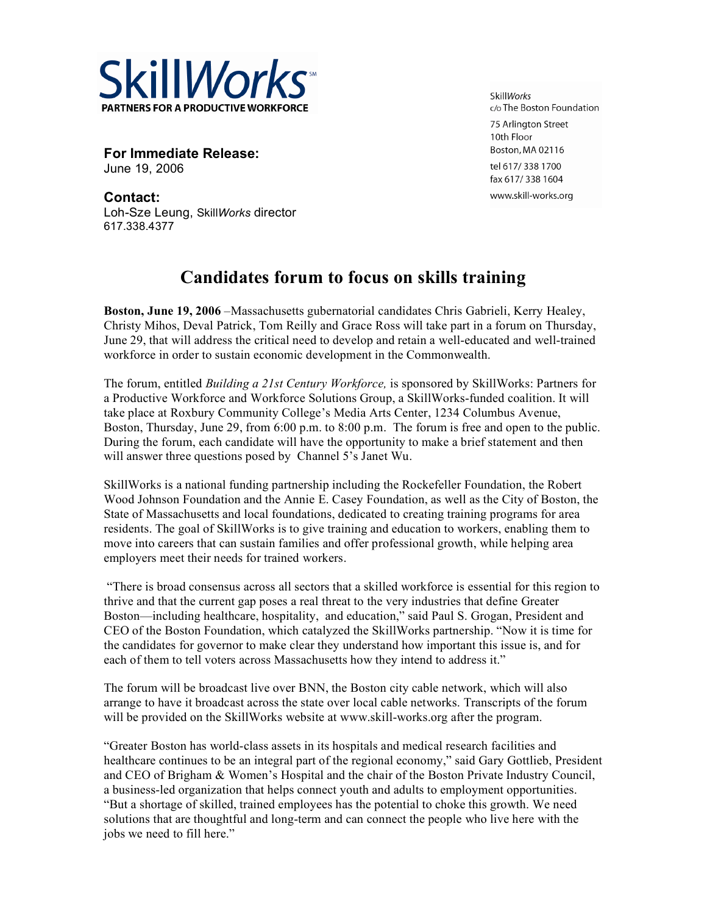

**For Immediate Release:** June 19, 2006

**Contact:** Loh-Sze Leung, Skill*Works* director 617.338.4377

**SkillWorks** c/o The Boston Foundation 75 Arlington Street 10th Floor Boston, MA 02116 tel 617/338 1700 fax 617/338 1604 www.skill-works.org

## **Candidates forum to focus on skills training**

**Boston, June 19, 2006** –Massachusetts gubernatorial candidates Chris Gabrieli, Kerry Healey, Christy Mihos, Deval Patrick, Tom Reilly and Grace Ross will take part in a forum on Thursday, June 29, that will address the critical need to develop and retain a well-educated and well-trained workforce in order to sustain economic development in the Commonwealth.

The forum, entitled *Building a 21st Century Workforce,* is sponsored by SkillWorks: Partners for a Productive Workforce and Workforce Solutions Group, a SkillWorks-funded coalition. It will take place at Roxbury Community College's Media Arts Center, 1234 Columbus Avenue, Boston, Thursday, June 29, from 6:00 p.m. to 8:00 p.m. The forum is free and open to the public. During the forum, each candidate will have the opportunity to make a brief statement and then will answer three questions posed by Channel 5's Janet Wu.

SkillWorks is a national funding partnership including the Rockefeller Foundation, the Robert Wood Johnson Foundation and the Annie E. Casey Foundation, as well as the City of Boston, the State of Massachusetts and local foundations, dedicated to creating training programs for area residents. The goal of SkillWorks is to give training and education to workers, enabling them to move into careers that can sustain families and offer professional growth, while helping area employers meet their needs for trained workers.

"There is broad consensus across all sectors that a skilled workforce is essential for this region to thrive and that the current gap poses a real threat to the very industries that define Greater Boston—including healthcare, hospitality, and education," said Paul S. Grogan, President and CEO of the Boston Foundation, which catalyzed the SkillWorks partnership. "Now it is time for the candidates for governor to make clear they understand how important this issue is, and for each of them to tell voters across Massachusetts how they intend to address it."

The forum will be broadcast live over BNN, the Boston city cable network, which will also arrange to have it broadcast across the state over local cable networks. Transcripts of the forum will be provided on the SkillWorks website at www.skill-works.org after the program.

"Greater Boston has world-class assets in its hospitals and medical research facilities and healthcare continues to be an integral part of the regional economy," said Gary Gottlieb, President and CEO of Brigham & Women's Hospital and the chair of the Boston Private Industry Council, a business-led organization that helps connect youth and adults to employment opportunities. "But a shortage of skilled, trained employees has the potential to choke this growth. We need solutions that are thoughtful and long-term and can connect the people who live here with the jobs we need to fill here."